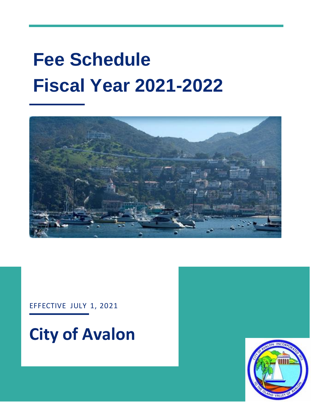# **Fee Schedule Fiscal Year 2021-2022**



EFFECTIVE JULY 1, 2021



**City of Avalon**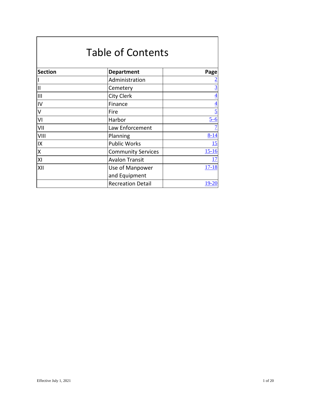|                | <b>Table of Contents</b>  |                 |
|----------------|---------------------------|-----------------|
| <b>Section</b> | <b>Department</b>         | Page            |
|                | Administration            | $\overline{2}$  |
| $\mathbf{I}$   | Cemetery                  | $\overline{3}$  |
| $\mathbf{III}$ | <b>City Clerk</b>         | $\overline{4}$  |
| IV             | Finance                   | $\overline{4}$  |
| V              | Fire                      | $\overline{5}$  |
| VI             | Harbor                    | $\frac{5-6}{5}$ |
| VII            | Law Enforcement           | $\overline{1}$  |
| VIII           | Planning                  | $8 - 14$        |
| IX             | <b>Public Works</b>       | 15              |
| X              | <b>Community Services</b> | $15 - 16$       |
| XI             | <b>Avalon Transit</b>     | <u>17</u>       |
| XII            | Use of Manpower           | $17 - 18$       |
|                | and Equipment             |                 |
|                | <b>Recreation Detail</b>  | $19 - 20$       |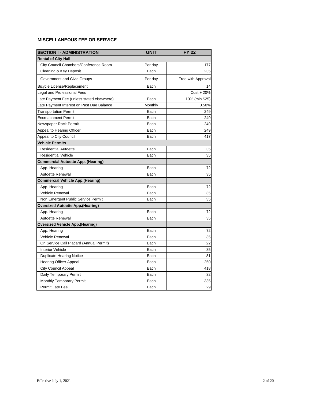<span id="page-2-0"></span>

| <b>SECTION I - ADMINISTRATION</b>          | <b>UNIT</b> | <b>FY 22</b>       |
|--------------------------------------------|-------------|--------------------|
| <b>Rental of City Hall</b>                 |             |                    |
| City Council Chambers/Conference Room      | Per day     | 177                |
| Cleaning & Key Deposit                     | Each        | 235                |
| Government and Civic Groups                | Per day     | Free with Approval |
| Bicycle License/Replacement                | Each        | 14                 |
| Legal and Professional Fees                |             | $Cost + 20%$       |
| Late Payment Fee (unless stated elsewhere) | Each        | 10% (min \$25)     |
| Late Payment Interest on Past Due Balance  | Monthly     | 0.50%              |
| <b>Transportation Permit</b>               | Each        | 249                |
| <b>Encroachment Permit</b>                 | Each        | 249                |
| Newspaper Rack Permit                      | Each        | 249                |
| Appeal to Hearing Officer                  | Each        | 249                |
| Appeal to City Council                     | Each        | 417                |
| <b>Vehicle Permits</b>                     |             |                    |
| <b>Residential Autoette</b>                | Each        | 35                 |
| <b>Residential Vehicle</b>                 | Each        | 35                 |
| Commercial Autoette App. (Hearing)         |             |                    |
| App. Hearing                               | Each        | 72                 |
| <b>Autoette Renewal</b>                    | Each        | 35                 |
| <b>Commercial Vehicle App.(Hearing)</b>    |             |                    |
| App. Hearing                               | Each        | 72                 |
| Vehicle Renewal                            | Each        | 35                 |
| Non Emergent Public Service Permit         | Each        | 35                 |
| <b>Oversized Autoette App.(Hearing)</b>    |             |                    |
| App. Hearing                               | Each        | 72                 |
| Autoette Renewal                           | Each        | 35                 |
| <b>Oversized Vehicle App.(Hearing)</b>     |             |                    |
| App. Hearing                               | Each        | 72                 |
| Vehicle Renewal                            | Each        | 35                 |
| On Service Call Placard (Annual Permit)    | Each        | 22                 |
| <b>Interior Vehicle</b>                    | Each        | 35                 |
| <b>Duplicate Hearing Notice</b>            | Each        | 81                 |
| <b>Hearing Officer Appeal</b>              | Each        | 250                |
| City Council Appeal                        | Each        | 418                |
| Daily Temporary Permit                     | Each        | 32                 |
| Monthly Temporary Permit                   | Each        | 335                |
| Permit Late Fee                            | Each        | 29                 |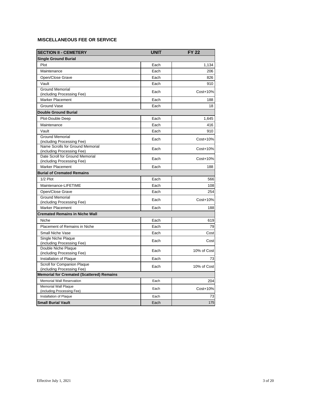<span id="page-3-0"></span>

| <b>SECTION II - CEMETERY</b>                                  | <b>UNIT</b> | <b>FY 22</b> |
|---------------------------------------------------------------|-------------|--------------|
| Single Ground Burial                                          |             |              |
| Plot                                                          | Each        | 1,134        |
| Maintenance                                                   | Each        | 206          |
| Open/Close Grave                                              | Each        | 826          |
| Vault                                                         | Each        | 910          |
| <b>Ground Memorial</b>                                        | Each        | Cost+10%     |
| (including Processing Fee)                                    |             |              |
| Marker Placement                                              | Each        | 188          |
| Ground Vase                                                   | Each        | 18           |
| <b>Double Ground Burial</b>                                   |             |              |
| Plot-Double Deep                                              | Each        | 1,645        |
| Maintenance                                                   | Each        | 416          |
| Vault                                                         | Each        | 910          |
| <b>Ground Memorial</b>                                        | Each        | Cost+10%     |
| (including Processing Fee)                                    |             |              |
| Name Scrolls for Ground Memorial                              | Each        | Cost+10%     |
| (including Processing Fee)<br>Date Scroll for Ground Memorial |             |              |
| (including Processing Fee)                                    | Each        | Cost+10%     |
| <b>Marker Placement</b>                                       | Each        | 188          |
| <b>Burial of Cremated Remains</b>                             |             |              |
| 1/2 Plot                                                      | Each        | 566          |
| Maintenance-LIFETIME                                          | Each        | 108          |
| Open/Close Grave                                              | Each        | 254          |
| <b>Ground Memorial</b>                                        |             |              |
| (including Processing Fee)                                    | Each        | Cost+10%     |
| <b>Marker Placement</b>                                       | Each        | 188          |
| <b>Cremated Remains in Niche Wall</b>                         |             |              |
| Niche                                                         | Each        | 619          |
| Placement of Remains in Niche                                 | Each        | 79           |
| Small Niche Vase                                              | Each        | Cost         |
| Single Niche Plaque                                           | Each        | Cost         |
| (including Processing Fee)                                    |             |              |
| Double Niche Plaque<br>(including Processing Fee)             | Each        | 10% of Cost  |
| Installation of Plaque                                        | Each        | 73           |
| Scroll for Companion Plaque                                   |             |              |
| (including Processing Fee)                                    | Each        | 10% of Cost  |
| <b>Memorial for Cremated (Scattered) Remains</b>              |             |              |
| <b>Memorial Wall Reservation</b>                              | Each        | 204          |
| <b>Memorial Wall Plaque</b>                                   | Each        | Cost+10%     |
| (including Processing Fee)                                    |             |              |
| Installation of Plaque                                        | Each        | 73           |
| <b>Small Burial Vault</b>                                     | Each        | 175          |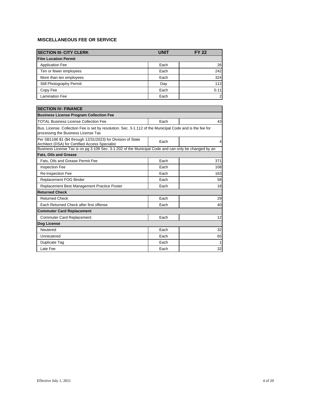<span id="page-4-0"></span>

| <b>SECTION III- CITY CLERK</b> | <b>UNIT</b> | <b>FY 22</b> |
|--------------------------------|-------------|--------------|
| <b>Film Location Permit</b>    |             |              |
| <b>Application Fee</b>         | Each        | 26           |
| Ten or fewer employees         | Each        | 242          |
| More than ten employees        | Each        | 324          |
| Still Photography Permit       | Day         | 112          |
| Copy Fee                       | Each        | 0.11         |
| <b>Lamination Fee</b>          | Each        | 2            |

| <b>SECTION IV- FINANCE</b>                                                                                                                      |      |                |  |
|-------------------------------------------------------------------------------------------------------------------------------------------------|------|----------------|--|
| <b>Business License Program Collection Fee</b>                                                                                                  |      |                |  |
| <b>TOTAL Business License Collection Fee</b>                                                                                                    | Each |                |  |
| Bus. License. Collection Fee is set by resolution. Sec. 3-1.112 of the Municipal Code and is the fee for<br>processing the Business License Tax |      |                |  |
| Per SB1186 \$1 (\$4 through 12/31/2023) for Division of State<br>Architect (DSA) for Certified Access Specialist                                | Each | $\overline{4}$ |  |
| Business License Tax is on pg 3.109 Sec. 3-1.202 of the Municipal Code and can only be changed by an                                            |      |                |  |
| <b>Fats. Oils and Grease</b>                                                                                                                    |      |                |  |
| Fats. Oils and Grease Permit Fee                                                                                                                | Each | 371            |  |
| <b>Inspection Fee</b>                                                                                                                           | Each | 108            |  |
| <b>Re-Inspection Fee</b>                                                                                                                        | Each | 163            |  |
| Replacement FOG Binder                                                                                                                          | Each | 58             |  |
| Replacement Best Management Practice Poster                                                                                                     | Each | 18             |  |
| <b>Returned Check</b>                                                                                                                           |      |                |  |
| <b>Returned Check</b>                                                                                                                           | Each | 29             |  |
| Each Returned Check after first offense                                                                                                         | Each | 40             |  |
| <b>Commuter Card Replacement</b>                                                                                                                |      |                |  |
| <b>Commuter Card Replacement</b>                                                                                                                | Each | 12             |  |
| Dog License                                                                                                                                     |      |                |  |
| Neutered                                                                                                                                        | Each | 32             |  |
| Unneutered                                                                                                                                      | Each | 65             |  |
| Duplicate Tag                                                                                                                                   | Each | $\mathbf{1}$   |  |
| Late Fee                                                                                                                                        | Each | 32             |  |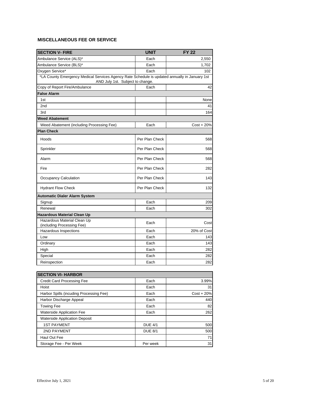<span id="page-5-0"></span>

| <b>SECTION V- FIRE</b>                                                                        | <b>UNIT</b>    | <b>FY 22</b> |
|-----------------------------------------------------------------------------------------------|----------------|--------------|
| Ambulance Service (ALS)*                                                                      | Each           | 2,550        |
| Ambulance Service (BLS)*                                                                      | Each           | 1,702        |
| Oxygen Service*                                                                               | Each           | 102          |
| *LA County Emergency Medical Services Agency Rate Schedule is updated annually in January 1st |                |              |
| AND July 1st. Subject to change.                                                              |                |              |
| Copy of Report Fire/Ambulance                                                                 | Each           | 42           |
| <b>False Alarm</b>                                                                            |                |              |
| 1st                                                                                           |                | None         |
| 2 <sub>nd</sub>                                                                               |                | 41           |
| 3rd                                                                                           |                | 164          |
| <b>Weed Abatement</b>                                                                         |                |              |
| Weed Abatement (including Processing Fee)                                                     | Each           | $Cost + 20%$ |
| <b>Plan Check</b>                                                                             |                |              |
| Hoods                                                                                         | Per Plan Check | 568          |
| Sprinkler                                                                                     | Per Plan Check | 568          |
| Alarm                                                                                         | Per Plan Check | 568          |
| Fire                                                                                          | Per Plan Check | 282          |
| Occupancy Calculation                                                                         | Per Plan Check | 143          |
| <b>Hydrant Flow Check</b>                                                                     | Per Plan Check | 132          |
| <b>Automatic Dialer Alarm System</b>                                                          |                |              |
| Signup                                                                                        | Each           | 209          |
| Renewal                                                                                       | Each           | 302          |
| <b>Hazardous Material Clean Up</b>                                                            |                |              |
| Hazardous Material Clean Up<br>(including Processing Fee)                                     | Each           | Cost         |
| Hazardous Inspections                                                                         | Each           | 20% of Cost  |
| Low                                                                                           | Each           | 143          |
| Ordinary                                                                                      | Each           | 143          |
| High                                                                                          | Each           | 282          |
| Special                                                                                       | Each           | 282          |
| Reinspection                                                                                  | Each           | 282          |

| <b>SECTION VI- HARBOR</b>               |                |              |
|-----------------------------------------|----------------|--------------|
| <b>Credit Card Processing Fee</b>       | Each           | 3.99%        |
| Hoist                                   | Each           | 31           |
| Harbor Spills (incuding Processing Fee) | Each           | $Cost + 20%$ |
| Harbor Discharge Appeal                 | Each           | 440          |
| <b>Towing Fee</b>                       | Each           | 82           |
| <b>Waterside Application Fee</b>        | Each           | 262          |
| <b>Waterside Application Deposit</b>    |                |              |
| <b>1ST PAYMENT</b>                      | <b>DUE 4/1</b> | 500          |
| <b>2ND PAYMENT</b>                      | <b>DUE 8/1</b> | 500          |
| Haul Out Fee                            |                | 71           |
| Storage Fee - Per Week                  | Per week       | 31           |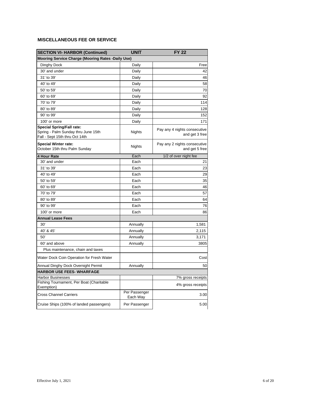| <b>SECTION VI- HARBOR (Continued)</b>                                                                     | <b>UNIT</b>               | <b>FY 22</b>                                   |  |
|-----------------------------------------------------------------------------------------------------------|---------------------------|------------------------------------------------|--|
| Mooring Service Charge (Mooring Rates -Daily Use)                                                         |                           |                                                |  |
| Dinghy Dock                                                                                               | Daily                     | Free                                           |  |
| 30' and under                                                                                             | Daily                     | 42                                             |  |
| 31' to 39'                                                                                                | Daily                     | 46                                             |  |
| 40' to 49'                                                                                                | Daily                     | 58                                             |  |
| 50' to 59'                                                                                                | Daily                     | 70                                             |  |
| 60' to 69'                                                                                                | Daily                     | 92                                             |  |
| 70' to 79'                                                                                                | Daily                     | 114                                            |  |
| 80' to 89'                                                                                                | Daily                     | 128                                            |  |
| 90' to 99'                                                                                                | Daily                     | 152                                            |  |
| 100' or more                                                                                              | Daily                     | 171                                            |  |
| <b>Special Spring/Fall rate:</b><br>Spring - Palm Sunday thru June 15th<br>Fall - Sept 15th thru Oct 14th | Nights                    | Pay any 4 nights consecutive<br>and get 3 free |  |
| <b>Special Winter rate:</b><br>October 15th thru Palm Sunday                                              | Nights                    | Pay any 2 nights consecutive<br>and get 5 free |  |
| 4 Hour Rate                                                                                               | Each                      | 1/2 of over night fee                          |  |
| 30' and under                                                                                             | Each                      | 21                                             |  |
| 31' to 39'                                                                                                | Each                      | 23                                             |  |
| 40' to 49'                                                                                                | Each                      | 29                                             |  |
| 50' to 59'                                                                                                | Each                      | 35                                             |  |
| 60' to 69'                                                                                                | Each                      | 46                                             |  |
| 70' to 79'                                                                                                | Each                      | 57                                             |  |
| 80' to 89'                                                                                                | Each                      | 64                                             |  |
| 90' to 99'                                                                                                | Each                      | 76                                             |  |
| 100' or more                                                                                              | Each                      | 86                                             |  |
| <b>Annual Lease Fees</b>                                                                                  |                           |                                                |  |
| 30'                                                                                                       | Annually                  | 1,581                                          |  |
| 40' & 45'                                                                                                 | Annually                  | 2,115                                          |  |
| 50'                                                                                                       | Annually                  | 3,171                                          |  |
| 60' and above                                                                                             | Annually                  | 3805                                           |  |
| Plus maintenance, chain and taxes                                                                         |                           |                                                |  |
| Water Dock Coin Operation for Fresh Water                                                                 |                           | Cost                                           |  |
| Annual Dinghy Dock Overnight Permit                                                                       | Annually                  | 50                                             |  |
| <b>HARBOR USE FEES- WHARFAGE</b>                                                                          |                           |                                                |  |
| <b>Harbor Businesses</b>                                                                                  |                           | 7% gross receipts                              |  |
| Fishing Tournament, Per Boat (Charitable<br>Exemption)                                                    |                           | 4% gross receipts                              |  |
| Cross Channel Carriers                                                                                    | Per Passenger<br>Each Way | 3.00                                           |  |
| Cruise Ships (100% of landed passengers)                                                                  | Per Passenger             | 5.00                                           |  |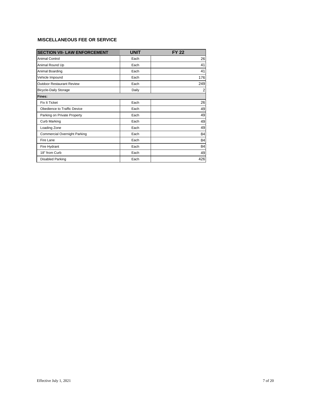<span id="page-7-0"></span>

| <b>SECTION VII- LAW ENFORCEMENT</b> | <b>UNIT</b> | <b>FY 22</b>   |
|-------------------------------------|-------------|----------------|
| Animal Control                      | Each        | 26             |
| Animal Round Up                     | Each        | 41             |
| Animal Boarding                     | Each        | 41             |
| Vehicle Impound                     | Each        | 176            |
| <b>Outdoor Restaurant Review</b>    | Each        | 249            |
| <b>Bicycle-Daily Storage</b>        | Daily       | $\overline{2}$ |
| Fines:                              |             |                |
| Fix It Ticket                       | Each        | 26             |
| Obedience to Traffic Device         | Each        | 49             |
| Parking on Private Property         | Each        | 49             |
| <b>Curb Marking</b>                 | Each        | 49             |
| Loading Zone                        | Each        | 49             |
| <b>Commercial Overnight Parking</b> | Each        | 84             |
| Fire Lane                           | Each        | 84             |
| Fire Hydrant                        | Each        | 84             |
| 18" from Curb                       | Each        | 49             |
| Disabled Parking                    | Each        | 426            |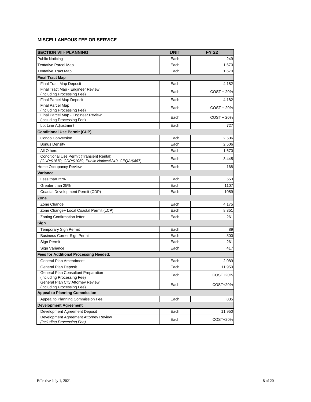<span id="page-8-0"></span>

| <b>SECTION VIII- PLANNING</b>                                       | <b>UNIT</b> | <b>FY 22</b> |
|---------------------------------------------------------------------|-------------|--------------|
| <b>Public Noticing</b>                                              | Each        | 249          |
| <b>Tentative Parcel Map</b>                                         | Each        | 1,670        |
| Tentative Tract Map                                                 | Each        | 1,670        |
| <b>Final Tract Map</b>                                              |             |              |
| Final Tract Map Deposit                                             | Each        | 4,182        |
| Final Tract Map - Engineer Review                                   | Each        | $COST + 20%$ |
| (including Processing Fee)                                          |             |              |
| <b>Final Parcel Map Deposit</b>                                     | Each        | 4,182        |
| <b>Final Parcel Map</b>                                             | Each        | $COST + 20%$ |
| (including Processing Fee)<br>Final Parcel Map - Engineer Review    |             |              |
| (including Processing Fee)                                          | Each        | $COST + 20%$ |
| Lot Line Adjustment                                                 | Each        | 727          |
| <b>Conditional Use Permit (CUP)</b>                                 |             |              |
| <b>Condo Conversion</b>                                             | Each        | 2,506        |
| <b>Bonus Density</b>                                                | Each        | 2,506        |
| All Others                                                          | Each        | 1,670        |
| <b>Conditional Use Permit (Transient Rental)</b>                    |             |              |
| (CUP/\$1670, CDP/\$1059, Public Notice/\$249, CEQA/\$467)           | Each        | 3,445        |
| Home Occupancy Review                                               | Each        | 168          |
| Variance                                                            |             |              |
| Less than 25%                                                       | Each        | 553          |
| Greater than 25%                                                    | Each        | 1107         |
| Coastal Development Permit (CDP)                                    | Each        | 1059         |
| Zone                                                                |             |              |
| Zone Change                                                         | Each        | 4,175        |
| Zone Change+ Local Coastal Permit (LCP)                             | Each        | 8,351        |
| <b>Zoning Confirmation letter</b>                                   | Each        | 261          |
| Sign                                                                |             |              |
| <b>Temporary Sign Permit</b>                                        | Each        | 89           |
| <b>Business Corner Sign Permit</b>                                  | Each        | 300          |
| Sign Permit                                                         | Each        | 261          |
| Sign Variance                                                       | Each        | 417          |
| <b>Fees for Additional Processing Needed:</b>                       |             |              |
| General Plan Amendment                                              | Each        | 2,089        |
| General Plan Deposit                                                | Each        | 11,950       |
| General Plan Consultant Preparation                                 |             |              |
| (including Processing Fee)                                          | Each        | COST+20%     |
| General Plan City Attorney Review                                   | Each        | COST+20%     |
| (including Processing Fee)                                          |             |              |
| <b>Appeal to Planning Commission</b>                                |             |              |
| Appeal to Planning Commission Fee                                   | Each        | 835          |
| <b>Development Agreement</b>                                        |             |              |
| Development Agreement Deposit                                       | Each        | 11,950       |
| Development Agreement Attorney Review<br>(including Processing Fee) | Each        | COST+20%     |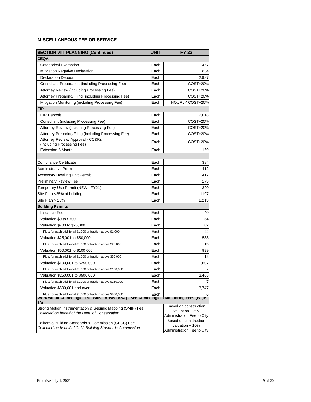| <b>SECTION VIII- PLANNING (Continued)</b>                                                                        | <b>UNIT</b> | <b>FY 22</b>                                   |
|------------------------------------------------------------------------------------------------------------------|-------------|------------------------------------------------|
| CEQA                                                                                                             |             |                                                |
| <b>Categorical Exemption</b>                                                                                     | Each        | 467                                            |
| <b>Mitigation Negative Declaration</b>                                                                           | Each        | 834                                            |
| <b>Declaration Deposit</b>                                                                                       | Each        | 2,987                                          |
| Consultant Preparation (including Processing Fee)                                                                | Each        | COST+20%                                       |
| Attorney Review (including Processing Fee)                                                                       | Each        | COST+20%                                       |
| Attorney Preparing/Filing (including Processing Fee)                                                             | Each        | COST+20%                                       |
| Mitigation Monitoring (including Processing Fee)                                                                 | Each        | <b>HOURLY COST+20%</b>                         |
| EIR                                                                                                              |             |                                                |
| <b>EIR Deposit</b>                                                                                               | Each        | 12,018                                         |
| Consultant (including Processing Fee)                                                                            | Each        | COST+20%                                       |
| Attorney Review (including Processing Fee)                                                                       | Each        | COST+20%                                       |
| Attorney Preparing/Filing (including Processing Fee)                                                             | Each        | COST+20%                                       |
| Attorney Review/ Approval - CC&Rs                                                                                | Each        | COST+20%                                       |
| (including Processing Fee)                                                                                       |             |                                                |
| <b>Extension-6 Month</b>                                                                                         | Each        | 169                                            |
|                                                                                                                  |             |                                                |
| Compliance Certificate                                                                                           | Each        | 384                                            |
| Administrative Permit                                                                                            | Each        | 412                                            |
| <b>Accessory Dwelling Unit Permit</b>                                                                            | Each        | 412                                            |
| <b>Preliminary Review Fee</b>                                                                                    | Each        | 273                                            |
| Temporary Use Permit (NEW - FY21)                                                                                | Each        | 390                                            |
| Site Plan <25% of building                                                                                       | Each        | 1107                                           |
| Site Plan > 25%                                                                                                  | Each        | 2,213                                          |
| <b>Building Permits</b>                                                                                          |             |                                                |
| <b>Issuance Fee</b>                                                                                              | Each        | 40                                             |
| Valuation \$0 to \$700                                                                                           | Each        | 54                                             |
| Valuation \$700 to \$25,000                                                                                      | Each        | 82                                             |
| Plus: for each additional \$1,000 or fraction above \$1,000                                                      | Each        | 22                                             |
| Valuation \$25,001 to \$50,000                                                                                   | Each        | 588                                            |
| Plus: for each additional \$1,000 or fraction above \$25,000                                                     | Each        | 16                                             |
| Valuation \$50,001 to \$100,000                                                                                  | Each        | 999                                            |
| Plus: for each additional \$1,000 or fraction above \$50,000                                                     | Each        | 12                                             |
| Valuation \$100,001 to \$250,000                                                                                 | Each        | 1,607                                          |
| Plus: for each additional \$1,000 or fraction above \$100,000                                                    | Each        | 7                                              |
| Valuation \$250,001 to \$500,000                                                                                 | Each        | 2,465                                          |
| Plus: for each additional \$1,000 or fraction above \$250,000                                                    | Each        | 7                                              |
| Valuation \$500,001 and over                                                                                     | Each        | 3,747                                          |
| Plus: for each additional \$1,000 or fraction above \$500,000<br>WORK WILDIN ALCHEOLOGICAL SENSITIVE ALEAS (ASA) | Each        | 6<br>- See Archeological monitoring rees (rage |
| 13)                                                                                                              |             | Based on construction                          |
| Strong Motion Instrumentation & Seismic Mapping (SMIP) Fee<br>Collected on behalf of the Dept. of Conservation   |             | valuation $+5%$                                |
|                                                                                                                  |             | Administration Fee to City                     |
| California Building Standards & Commission (CBSC) Fee                                                            |             | Based on construction<br>valuation + 10%       |
| Collected on behalf of Calif. Building Standards Commission                                                      |             | Administration Fee to City                     |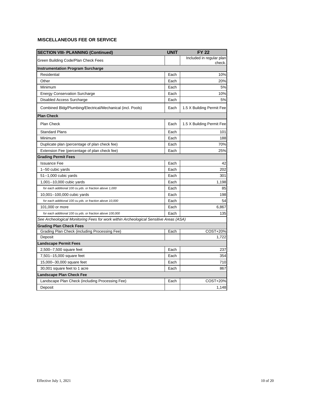| <b>SECTION VIII- PLANNING (Continued)</b>                                             | <b>UNIT</b> | <b>FY 22</b>                       |
|---------------------------------------------------------------------------------------|-------------|------------------------------------|
| Green Building Code/Plan Check Fees                                                   |             | Included in regular plan<br>check. |
| <b>Instrumentation Program Surcharge</b>                                              |             |                                    |
| Residential                                                                           | Each        | 10%                                |
| Other                                                                                 | Each        | 20%                                |
| Minimum                                                                               | Each        | 5%                                 |
| <b>Energy Conservation Surcharge</b>                                                  | Each        | 10%                                |
| Disabled Access Surcharge                                                             | Each        | 5%                                 |
| Combined Bldg/Plumbing/Electrical/Mechanical (incl. Pools)                            | Each        | 1.5 X Building Permit Fee          |
| <b>Plan Check</b>                                                                     |             |                                    |
| Plan Check                                                                            | Each        | 1.5 X Building Permit Fee          |
| <b>Standard Plans</b>                                                                 | Each        | 101                                |
| Minimum                                                                               | Each        | 188                                |
| Duplicate plan (percentage of plan check fee)                                         | Each        | 70%                                |
| Extension Fee (percentage of plan check fee)                                          | Each        | 25%                                |
| <b>Grading Permit Fees</b>                                                            |             |                                    |
| <b>Issuance Fee</b>                                                                   | Each        | 42                                 |
| 1--50 cubic yards                                                                     | Each        | 202                                |
| 51--1,000 cubic yards                                                                 | Each        | 301                                |
| 1,001--10,000 cubic yards                                                             | Each        | 1,198                              |
| for each additional 100 cu.yds. or fraction above 1,000                               | Each        | 85                                 |
| 10,001--100,000 cubic yards                                                           | Each        | 198                                |
| for each additional 100 cu.yds. or fraction above 10,000                              | Each        | 54                                 |
| 101,000 or more                                                                       | Each        | 6,867                              |
| for each additional 100 cu.yds. or fraction above 100,000                             | Each        | 135                                |
| See Archeological Monitoring Fees for work within Archeological Sensitive Areas (ASA) |             |                                    |
| Grading Plan Check Fees                                                               |             |                                    |
| Grading Plan Check (including Processing Fee)                                         | Each        | COST+20%                           |
| Deposit                                                                               |             | 1,722                              |
| Landscape Permit Fees                                                                 |             |                                    |
| 2,500--7,500 square feet                                                              | Each        | 237                                |
| 7,501--15,000 square feet                                                             | Each        | 354                                |
| 15,000--30,000 square feet                                                            | Each        | 710                                |
| 30,001 square feet to 1 acre                                                          | Each        | 867                                |
| <b>Landscape Plan Check Fee</b>                                                       |             |                                    |
| Landscape Plan Check (including Processing Fee)                                       | Each        | COST+20%                           |
| Deposit                                                                               |             | 1,148                              |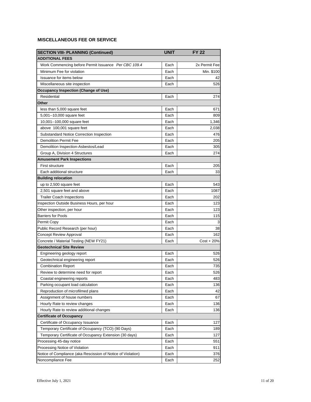| <b>SECTION VIII- PLANNING (Continued)</b>                    | <b>UNIT</b> | <b>FY 22</b>  |
|--------------------------------------------------------------|-------------|---------------|
| <b>ADDITIONAL FEES</b>                                       |             |               |
| Work Commencing before Permit Issuance Per CBC 109.4         | Each        | 2x Permit Fee |
| Minimum Fee for violation                                    | Each        | Min. \$100    |
| Issuance for items below                                     | Each        | 42            |
| Miscellaneous site inspection                                | Each        | 526           |
| Occupancy Inspection (Change of Use)                         |             |               |
| Residential                                                  | Each        | 274           |
| Other                                                        |             |               |
| less than 5,000 square feet                                  | Each        | 671           |
| 5,001--10,000 square feet                                    | Each        | 809           |
| 10,001--100,000 square feet                                  | Each        | 1,346         |
| above 100,001 square feet                                    | Each        | 2,038         |
| Substandard Notice Correction Inspection                     | Each        | 476           |
| <b>Demolition Permit Fee</b>                                 | Each        | 205           |
| Demolition Inspection-Asbestos/Lead                          | Each        | 305           |
| Group A, Division 4 Structures                               | Each        | 274           |
| Amusement Park Inspections                                   |             |               |
| <b>First structure</b>                                       | Each        | 205           |
| Each additional structure                                    | Each        | 33            |
| <b>Building relocation</b>                                   |             |               |
| up to 2,500 square feet                                      | Each        | 543           |
| 2,501 square feet and above                                  | Each        | 1087          |
| <b>Trailer Coach Inspections</b>                             | Each        | 202           |
| Inspection Outside Business Hours, per hour                  | Each        | 123           |
| Other inspection, per hour                                   | Each        | 123           |
| <b>Barriers for Pools</b>                                    | Each        | 115           |
| Permit Copy                                                  | Each        |               |
| Public Record Research (per hour)                            | Each        | 38            |
| Concept Review Approval                                      | Each        | 162           |
| Concrete / Material Testing (NEW FY21)                       | Each        | $Cost + 20\%$ |
| <b>Geotechnical Site Review</b>                              |             |               |
| Engineering geology report                                   | Each        | 526           |
| Geotechnical engineering report                              | Each        | 526           |
| <b>Combination Report</b>                                    | Each        | 735           |
| Review to determine need for report                          | Each        | 526           |
| Coastal engineering reports                                  | Each        | 483           |
| Parking occupant load calculation                            | Each        | 136           |
| Reproduction of microfilmed plans                            | Each        | 42            |
| Assignment of house numbers                                  | Each        | 67            |
| Hourly Rate to review changes                                | Each        | 136           |
| Hourly Rate to review additional changes                     | Each        | 136           |
| Certificate of Occupancy                                     |             |               |
| Certificate of Occupancy Issuance                            | Each        | 127           |
| Temporary Certificate of Occupancy (TCO) (90 Days)           | Each        | 189           |
| Temporary Certificate of Occupancy Extension (30 days)       | Each        | 127           |
| Processing 45-day notice                                     | Each        | 551           |
| Processing Notice of Violation                               | Each        | 911           |
| Notice of Compliance (aka Rescission of Notice of Violation) | Each        | 376           |
| Noncompliance Fee                                            | Each        | 252           |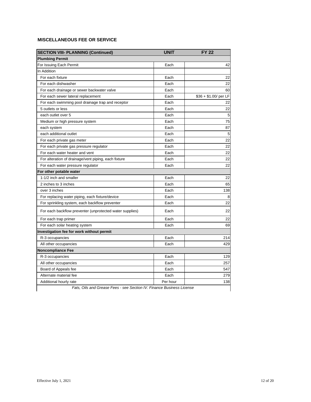| <b>SECTION VIII- PLANNING (Continued)</b>                | <b>UNIT</b> | <b>FY 22</b>          |
|----------------------------------------------------------|-------------|-----------------------|
| <b>Plumbing Permit</b>                                   |             |                       |
| For Issuing Each Permit                                  | Each        | 42                    |
| In Addition                                              |             |                       |
| For each fixture                                         | Each        | 22                    |
| For each dishwasher                                      | Each        | 22                    |
| For each drainage or sewer backwater valve               | Each        | 60                    |
| For each sewer lateral replacement                       | Each        | \$36 + \$1.00/ per LF |
| For each swimming pool drainage trap and receptor        | Each        | 22                    |
| 5 outlets or less                                        | Each        | 22                    |
| each outlet over 5                                       | Each        | 5                     |
| Medium or high pressure system                           | Each        | 75                    |
| each system                                              | Each        | 87                    |
| each additional outlet                                   | Each        | 5                     |
| For each private gas meter                               | Each        | 22                    |
| For each private gas pressure regulator                  | Each        | 22                    |
| For each water heater and vent                           | Each        | 22                    |
| For alteration of drainage/vent piping, each fixture     | Each        | 22                    |
| For each water pressure regulator                        | Each        | 22                    |
| For other potable water                                  |             |                       |
| 1-1/2 inch and smaller                                   | Each        | 22                    |
| 2 inches to 3 inches                                     | Each        | 65                    |
| over 3 inches                                            | Each        | 138                   |
| For replacing water piping, each fixture/device          | Each        | 8                     |
| For sprinkling system, each backflow preventer           | Each        | 22                    |
| For each backflow preventer (unprotected water supplies) | Each        | 22                    |
| For each trap primer                                     | Each        | 22                    |
| For each solar heating system                            | Each        | 69                    |
| Investigation fee for work without permit                |             |                       |
| R-3 occupancies                                          | Each        | 214                   |
| All other occupancies                                    | Each        | 429                   |
| <b>Noncompliance Fee</b>                                 |             |                       |
| R-3 occupancies                                          | Each        | 129                   |
| All other occupancies                                    | Each        | 257                   |
| Board of Appeals fee                                     | Each        | 547                   |
| Alternate material fee                                   | Each        | 279                   |
| Additional hourly rate                                   | Per hour    | 138                   |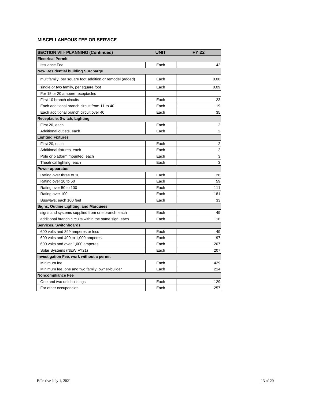| <b>SECTION VIII- PLANNING (Continued)</b>                | <b>UNIT</b> | <b>FY 22</b>            |
|----------------------------------------------------------|-------------|-------------------------|
| <b>Electrical Permit</b>                                 |             |                         |
| <b>Issuance Fee</b>                                      | Each        | 42                      |
| <b>New Residential building Surcharge</b>                |             |                         |
| multifamily, per square foot addition or remodel (added) | Each        | 0.08                    |
| single or two family, per square foot                    | Each        | 0.09                    |
| For 15 or 20 ampere receptacles                          |             |                         |
| First 10 branch circuits                                 | Each        | 23                      |
| Each additional branch circuit from 11 to 40             | Each        | 19                      |
| Each additional branch circuit over 40                   | Each        | 35                      |
| Receptacle, Switch, Lighting                             |             |                         |
| First 20, each                                           | Each        | 2                       |
| Additional outlets, each                                 | Each        | $\overline{2}$          |
| <b>Lighting Fixtures</b>                                 |             |                         |
| First 20, each                                           | Each        | $\overline{\mathbf{c}}$ |
| Additional fixtures, each                                | Each        | $\overline{c}$          |
| Pole or platform mounted, each                           | Each        | 3                       |
| Theatrical lighting, each                                | Each        | 3                       |
| <b>Power apparatus</b>                                   |             |                         |
| Rating over three to 10                                  | Each        | 26                      |
| Rating over 10 to 50                                     | Each        | 59                      |
| Rating over 50 to 100                                    | Each        | 111                     |
| Rating over 100                                          | Each        | 181                     |
| Busways, each 100 feet                                   | Each        | 33                      |
| Signs, Outline Lighting, and Marquees                    |             |                         |
| signs and systems supplied from one branch, each         | Each        | 49                      |
| additional branch circuits within the same sign, each    | Each        | 16                      |
| Services, Switchboards                                   |             |                         |
| 600 volts and 399 amperes or less                        | Each        | 49                      |
| 600 volts and 400 to 1,000 amperes                       | Each        | 97                      |
| 600 volts and over 1,000 amperes                         | Each        | 207                     |
| Solar Systems (NEW FY21)                                 | Each        | 207                     |
| Investigation Fee, work without a permit                 |             |                         |
| Minimum fee                                              | Each        | 429                     |
| Minimum fee, one and two family, owner-builder           | Each        | 214                     |
| <b>Noncompliance Fee</b>                                 |             |                         |
| One and two unit buildings                               | Each        | 129                     |
| For other occupancies                                    | Each        | 257                     |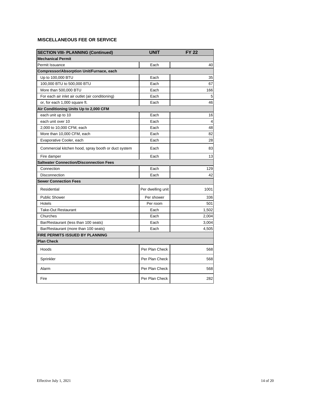| <b>SECTION VIII- PLANNING (Continued)</b>           | <b>UNIT</b>       | <b>FY 22</b> |
|-----------------------------------------------------|-------------------|--------------|
| <b>Mechanical Permit</b>                            |                   |              |
| Permit Issuance                                     | Each              | 40           |
| Compressor/Absorption Unit/Furnace, each            |                   |              |
| Up to 100,000 BTU                                   | Each              | 35           |
| 100,000 BTU to 500,000 BTU                          | Each              | 67           |
| More than 500,000 BTU                               | Each              | 166          |
| For each air inlet air outlet (air conditioning)    | Each              | 5            |
| or, for each 1,000 square ft.                       | Each              | 46           |
| Air Conditioning Units Up to 2,000 CFM              |                   |              |
| each unit up to 10                                  | Each              | 16           |
| each unit over 10                                   | Each              | 4            |
| 2,000 to 10,000 CFM, each                           | Each              | 48           |
| More than 10,000 CFM, each                          | Each              | 82           |
| Evaporative Cooler, each                            | Each              | 28           |
| Commercial kitchen hood, spray booth or duct system | Each              | 83           |
| Fire damper                                         | Each              | 13           |
| <b>Saltwater Connection/Disconnection Fees</b>      |                   |              |
| Connection                                          | Each              | 129          |
| Disconnection                                       | Each              | 42           |
| <b>Sewer Connection Fees</b>                        |                   |              |
| Residential                                         | Per dwelling unit | 1001         |
| <b>Public Shower</b>                                | Per shower        | 336          |
| Hotels                                              | Per room          | 501          |
| <b>Take-Out Restaurant</b>                          | Each              | 1,502        |
| Churches                                            | Each              | 2,004        |
| Bar/Restaurant (less than 100 seats)                | Each              | 3,004        |
| Bar/Restaurant (more than 100 seats)                | Each              | 4,505        |
| FIRE PERMITS ISSUED BY PLANNING                     |                   |              |
| <b>Plan Check</b>                                   |                   |              |
| Hoods                                               | Per Plan Check    | 568          |
| Sprinkler                                           | Per Plan Check    | 568          |
| Alarm                                               | Per Plan Check    | 568          |
| Fire                                                | Per Plan Check    | 282          |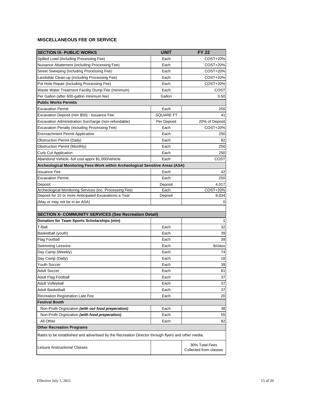<span id="page-15-0"></span>

| <b>SECTION IX- PUBLIC WORKS</b>                                                                   | <b>UNIT</b>      | <b>FY 22</b>                             |
|---------------------------------------------------------------------------------------------------|------------------|------------------------------------------|
| Spilled Load (including Processing Fee)                                                           | Each             | COST+20%                                 |
| Nuisance Abatement (including Processing Fee)                                                     | Each             | COST+20%                                 |
| Street Sweeping (including Processing Fee)                                                        | Each             | COST+20%                                 |
| Landslide Clean-up (including Processing Fee)                                                     | Each             | COST+20%                                 |
| Pot Hole Repair (including Processing Fee)                                                        | Each             | COST+20%                                 |
| Waste Water Treatment Facility Dump Fee (minimum)                                                 | Each             | COST                                     |
| Per Gallon (after 600-gallon minimum fee)                                                         | Gallon           | 0.50                                     |
| <b>Public Works Permits</b>                                                                       |                  |                                          |
| <b>Excavation Permit</b>                                                                          | Each             | 250                                      |
| Excavation Deposit (min \$50) - Issuance Fee                                                      | <b>SQUARE FT</b> | 41                                       |
| Excavation Administration Surcharge (non-refundable)                                              | Per Deposit      | 20% of Deposit                           |
| Excavation Penalty (including Processing Fee)                                                     | Each             | COST+20%                                 |
| <b>Encroachment Permit Application</b>                                                            | Each             | 250                                      |
| Obstruction Permit (Daily)                                                                        | Each             | 82                                       |
| Obstruction Permit (Monthly)                                                                      | Each             | 250                                      |
| <b>Curb Cut Application</b>                                                                       | Each             | 250                                      |
| Abandond Vehicle -full cost apprx \$1,000/vehicle                                                 | Each             | COST                                     |
| Archeological Monitoring Fees-Work within Archeological Sensitive Areas (ASA)                     |                  |                                          |
| <b>Issuance Fee</b>                                                                               | Each             | 42                                       |
| <b>Excavation Permit:</b>                                                                         | Each             | 250                                      |
| Deposit                                                                                           | Deposit          | 4,017                                    |
| Archeological Monitoring Services (inc. Processing Fee)                                           | Each             | COST+20%                                 |
| Deposit for 10 or more Anticipated Excavations a Year                                             | Deposit          | 8,034                                    |
| (May or may not be in an ASA)                                                                     |                  | 0                                        |
|                                                                                                   |                  |                                          |
| <b>SECTION X- COMMUNITY SERVICES (See Recreation Detail)</b>                                      |                  |                                          |
| Donation for Team Sports Scholarships (min)                                                       |                  | 1                                        |
| T-Ball                                                                                            | Each             | 32                                       |
| Basketball (youth)                                                                                | Each             | 39                                       |
| <b>Flag Football</b>                                                                              | Each             | 39                                       |
| <b>Swimming Lessons</b>                                                                           | Each             | 8/class                                  |
| Day Camp (Weekly)                                                                                 | Each             | 74                                       |
| Day Camp (Daily)                                                                                  | Each             | 18                                       |
| Youth Soccer                                                                                      | Each             | 39                                       |
| <b>Adult Soccer</b>                                                                               | Each             | 81                                       |
| <b>Adult Flag Football</b>                                                                        | Each             | 37                                       |
| <b>Adult Volleyball</b>                                                                           | Each             | 37                                       |
| <b>Adult Basketball</b>                                                                           | Each             | 37                                       |
| Recreation Registration Late Fee                                                                  | Each             | 20                                       |
| <b>Festival Booth</b>                                                                             |                  |                                          |
| Non-Profit Orgnization (with out food preperation)                                                | Each             | 38                                       |
| Non-Profit Orgnization (with food preperation)                                                    | Each             | 55                                       |
| All Other                                                                                         | Each             | 82                                       |
| <b>Other Recreation Programs</b>                                                                  |                  |                                          |
| Rates to be established and advertised by the Recreation Director through flyers and other media. |                  |                                          |
| Leisure /Instructional Classes                                                                    |                  | 30% Total Fees<br>Collected from classes |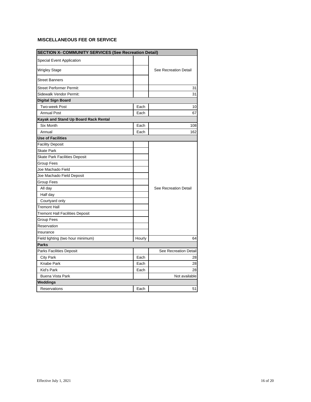| <b>SECTION X- COMMUNITY SERVICES (See Recreation Detail)</b> |        |                       |  |  |
|--------------------------------------------------------------|--------|-----------------------|--|--|
| <b>Special Event Application</b>                             |        |                       |  |  |
| <b>Wrigley Stage</b>                                         |        | See Recreation Detail |  |  |
| <b>Street Banners</b>                                        |        |                       |  |  |
| <b>Street Performer Permit:</b>                              |        | 31                    |  |  |
| Sidewalk Vendor Permit:                                      |        | 31                    |  |  |
| <b>Digital Sign Board</b>                                    |        |                       |  |  |
| Two-week Post                                                | Each   | 10                    |  |  |
| <b>Annual Post</b>                                           | Each   | 67                    |  |  |
| Kayak and Stand Up Board Rack Rental                         |        |                       |  |  |
| <b>Six Month</b>                                             | Each   | 108                   |  |  |
| Annual                                                       | Each   | 162                   |  |  |
| <b>Use of Facilities</b>                                     |        |                       |  |  |
| <b>Facility Deposit</b>                                      |        |                       |  |  |
| <b>Skate Park</b>                                            |        |                       |  |  |
| <b>Skate Park Facilities Deposit</b>                         |        |                       |  |  |
| Group Fees                                                   |        |                       |  |  |
| Joe Machado Field                                            |        |                       |  |  |
| Joe Machado Field Deposit                                    |        |                       |  |  |
| Group Fees                                                   |        |                       |  |  |
| All day                                                      |        | See Recreation Detail |  |  |
| Half day                                                     |        |                       |  |  |
| Courtyard only                                               |        |                       |  |  |
| <b>Tremont Hall</b>                                          |        |                       |  |  |
| <b>Tremont Hall Facilities Deposit</b>                       |        |                       |  |  |
| Group Fees                                                   |        |                       |  |  |
| Reservation                                                  |        |                       |  |  |
| Insurance                                                    |        |                       |  |  |
| Field lighting (two hour minimum)                            | Hourly | 64                    |  |  |
| <b>Parks</b>                                                 |        |                       |  |  |
| Parks Facilities Deposit                                     |        | See Recreation Detail |  |  |
| <b>City Park</b>                                             | Each   | 28                    |  |  |
| Knabe Park                                                   | Each   | 28                    |  |  |
| Kid's Park                                                   | Each   | 28                    |  |  |
| <b>Buena Vista Park</b>                                      |        | Not available         |  |  |
| Weddings                                                     |        |                       |  |  |
| Reservations                                                 | Each   | 51                    |  |  |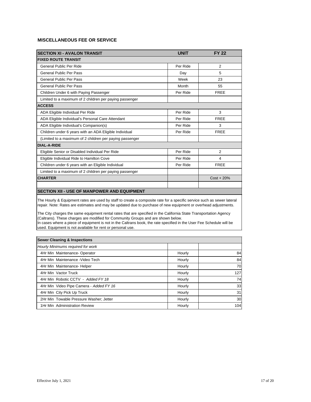<span id="page-17-0"></span>

| <b>SECTION XI - AVALON TRANSIT</b>                       | <b>UNIT</b> | <b>FY 22</b>   |
|----------------------------------------------------------|-------------|----------------|
| <b>FIXED ROUTE TRANSIT</b>                               |             |                |
| General Public Per Ride                                  | Per Ride    | 2              |
| <b>General Public Per Pass</b>                           | Day         | 5              |
| <b>General Public Per Pass</b>                           | Week        | 23             |
| <b>General Public Per Pass</b>                           | Month       | 55             |
| Children Under 6 with Paying Passenger                   | Per Ride    | <b>FREE</b>    |
| Limited to a maximum of 2 children per paying passenger  |             |                |
| <b>ACCESS</b>                                            |             |                |
| ADA Eligible Individual Per Ride                         | Per Ride    | 3              |
| ADA Eligible Individual's Personal Care Attendant        | Per Ride    | <b>FREE</b>    |
| ADA Eligible Individual's Companion(s)                   | Per Ride    | 3              |
| Children under 6 years with an ADA Eligible Individual   | Per Ride    | <b>FREE</b>    |
| (Limited to a maximum of 2 children per paying passenger |             |                |
| <b>DIAL-A-RIDE</b>                                       |             |                |
| Eligible Senior or Disabled Individual Per Ride          | Per Ride    | $\overline{2}$ |
| Eligible Individual Ride to Hamilton Cove                | Per Ride    | 4              |
| Children under 6 years with an Eligible Individual       | Per Ride    | <b>FREE</b>    |
| Limited to a maximum of 2 children per paying passenger  |             |                |
| <b>CHARTER</b>                                           |             | $Cost + 20%$   |
|                                                          |             |                |
| <b>SECTION XII - USE OF MANPOWER AND EQUIPMENT</b>       |             |                |

The Hourly & Equipment rates are used by staff to create a composite rate for a specific service such as sewer lateral repair. Note: Rates are estimates and may be updated due to purchase of new equipment or overhead adjustments.

The City charges the same equipment rental rates that are specified in the California State Transportation Agency (Caltrans). These charges are modified for Community Groups and are shown below.

In cases where a piece of equipment is not in the Caltrans book, the rate specified in the User Fee Schedule will be used. Equipment is not available for rent or personal use.

| <b>Sewer Cleaning &amp; Inspections</b> |        |     |
|-----------------------------------------|--------|-----|
| Hourly Minimums required for work       |        |     |
| 4Hr Min Maintenance- Operator           | Hourly | 84  |
| 4Hr Min Maintenance - Video Tech        | Hourly | 84  |
| 4Hr Min Maintenance- Helper             | Hourly | 70  |
| 4Hr Min Vactor Truck                    | Hourly | 127 |
| 4Hr Min Robotic CCTV - Added FY 18      | Hourly | 74  |
| 4Hr Min Video Pipe Camera - Added FY 16 | Hourly | 33  |
| 4Hr Min City Pick Up Truck              | Hourly | 31  |
| 2Hr Min Towable Pressure Washer; Jetter | Hourly | 30  |
| 1Hr Min Administration Review           | Hourly | 104 |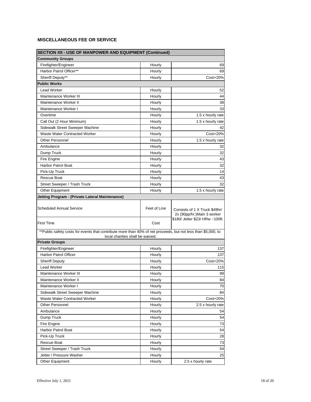| <b>SECTION XII - USE OF MANPOWER AND EQUIPMENT (Continued)</b>                                                                                    |              |                                                              |  |  |
|---------------------------------------------------------------------------------------------------------------------------------------------------|--------------|--------------------------------------------------------------|--|--|
| <b>Community Groups</b>                                                                                                                           |              |                                                              |  |  |
| Firefighter/Engineer                                                                                                                              | Hourly       | 69                                                           |  |  |
| Harbor Patrol Officer**                                                                                                                           | Hourly       | 69                                                           |  |  |
| Sheriff Deputy**                                                                                                                                  | Hourly       | Cost+20%                                                     |  |  |
| <b>Public Works</b>                                                                                                                               |              |                                                              |  |  |
| <b>Lead Worker</b>                                                                                                                                | Hourly       | 52                                                           |  |  |
| Maintenance Worker III                                                                                                                            | Hourly       | 44                                                           |  |  |
| Maintenance Worker II                                                                                                                             | Hourly       | 38                                                           |  |  |
| Maintenance Worker I                                                                                                                              | Hourly       | 33                                                           |  |  |
| Overtime                                                                                                                                          | Hourly       | 1.5 x hourly rate                                            |  |  |
| Call Out (2 Hour Minimum)                                                                                                                         | Hourly       | 1.5 x hourly rate                                            |  |  |
| Sidewalk Street Sweeper Machine                                                                                                                   | Hourly       | 42                                                           |  |  |
| Waste Water Contracted Worker                                                                                                                     | Hourly       | Cost+20%                                                     |  |  |
| <b>Other Personnel</b>                                                                                                                            | Hourly       | 1.5 x hourly rate                                            |  |  |
| Ambulance                                                                                                                                         | Hourly       | 32                                                           |  |  |
| Dump Truck                                                                                                                                        | Hourly       | 32                                                           |  |  |
| Fire Engine                                                                                                                                       | Hourly       | 43                                                           |  |  |
| <b>Harbor Patrol Boat</b>                                                                                                                         | Hourly       | 32                                                           |  |  |
| Pick-Up Truck                                                                                                                                     | Hourly       | 14                                                           |  |  |
| <b>Rescue Boat</b>                                                                                                                                | Hourly       | 43                                                           |  |  |
| Street Sweeper / Trash Truck                                                                                                                      | Hourly       | 32                                                           |  |  |
| <b>Other Equipment</b>                                                                                                                            | Hourly       | 1.5 x hourly rate                                            |  |  |
| Jetting Program - (Private Lateral Maintenance)                                                                                                   |              |                                                              |  |  |
| <b>Scheduled Annual Service</b>                                                                                                                   | Feet of Line | Consists of 1 X Truck \$49hr/<br>2x (90pp/hr.) Main 3 worker |  |  |
| <b>First Time</b>                                                                                                                                 | Cost         | \$180/ Jetter \$23/ HRw ~100ft.                              |  |  |
| **Public safety costs for events that contribute more than 40% of net proceeds, but not less than \$5,000, to<br>local charities shall be waived. |              |                                                              |  |  |
| <b>Private Groups</b>                                                                                                                             |              |                                                              |  |  |
| Firefighter/Engineer                                                                                                                              | Hourly       | 137                                                          |  |  |
| <b>Harbor Patrol Officer</b>                                                                                                                      | Hourly       | 137                                                          |  |  |
| <b>Sheriff Deputy</b>                                                                                                                             | Hourly       | Cost+20%                                                     |  |  |
| <b>Lead Worker</b>                                                                                                                                | Hourly       | 115                                                          |  |  |
| Maintenance Worker III                                                                                                                            | Hourly       | 99                                                           |  |  |
| Maintenance Worker II                                                                                                                             | Hourly       | 84                                                           |  |  |
| Maintenance Worker I                                                                                                                              | Hourly       | 70                                                           |  |  |
| Sidewalk Street Sweeper Machine                                                                                                                   | Hourly       | 84                                                           |  |  |
| Waste Water Contracted Worker                                                                                                                     | Hourly       | Cost+20%                                                     |  |  |
| Other Personnel                                                                                                                                   | Hourly       | 2.5 x hourly rate                                            |  |  |
| Ambulance                                                                                                                                         | Hourly       | 54                                                           |  |  |
| Dump Truck                                                                                                                                        | Hourly       | 54                                                           |  |  |
| Fire Engine                                                                                                                                       | Hourly       | 73                                                           |  |  |
| Harbor Patrol Boat                                                                                                                                | Hourly       | 54                                                           |  |  |
| Pick-Up Truck                                                                                                                                     | Hourly       | 28                                                           |  |  |
| Rescue Boat                                                                                                                                       | Hourly       | 73                                                           |  |  |
| Street Sweeper / Trash Truck                                                                                                                      | Hourly       | 54                                                           |  |  |
| Jetter / Pressure Washer                                                                                                                          | Hourly       | 25                                                           |  |  |
| Other Equipment                                                                                                                                   | Hourly       | 2.5 x hourly rate                                            |  |  |
|                                                                                                                                                   |              |                                                              |  |  |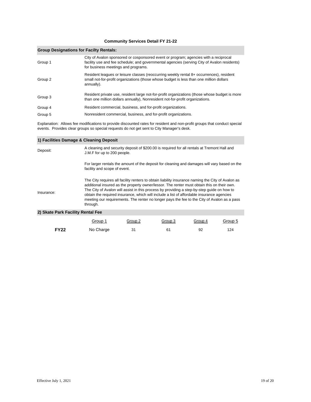#### **Community Services Detail FY 21-22**

#### <span id="page-19-0"></span>**Group Designations for Facilty Rentals:**

| Group 1 | City of Avalon sponsored or cosponsored event or program; agencies with a reciprocal<br>facility use and fee schedule; and governmental agencies (serving City of Avalon residents)<br>for business meetings and programs. |
|---------|----------------------------------------------------------------------------------------------------------------------------------------------------------------------------------------------------------------------------|
| Group 2 | Resident leagues or leisure classes (reoccurring weekly rental 8+ occurrences), resident<br>small not-for-profit organizations (those whose budget is less than one million dollars<br>annually).                          |
| Group 3 | Resident private use, resident large not-for-profit organizations (those whose budget is more<br>than one million dollars annually), Nonresident not-for-profit organizations.                                             |
| Group 4 | Resident commercial, business, and for-profit organizations.                                                                                                                                                               |
| Group 5 | Nonresident commercial, business, and for-profit organizations.                                                                                                                                                            |

Explanation: Allows fee modifications to provide discounted rates for resident and non-profit groups that conduct special events. Provides clear groups so special requests do not get sent to City Manager's desk.

#### Deposit: Insurance: **2) Skate Park Facility Rental Fee 1) Facilities Damage & Cleaning Deposit** A cleaning and security deposit of \$200.00 is required for all rentals at Tremont Hall and J.M.F for up to 200 people. For larger rentals the amount of the deposit for cleaning and damages will vary based on the facility and scope of event. The City requires all facility renters to obtain liability insurance naming the City of Avalon as additional insured as the property owner/lessor. The renter must obtain this on their own. The City of Avalon will assist in this process by providing a step-by-step guide on how to obtain the required insurance, which will include a list of affordable insurance agencies meeting our requirements. The renter no longer pays the fee to the City of Avalon as a pass through.

|             | Group 1   | Group 2 | Group 3 | Group 4 | Group 5 |
|-------------|-----------|---------|---------|---------|---------|
| <b>FY22</b> | No Charge |         | 61      | 92      | 124     |